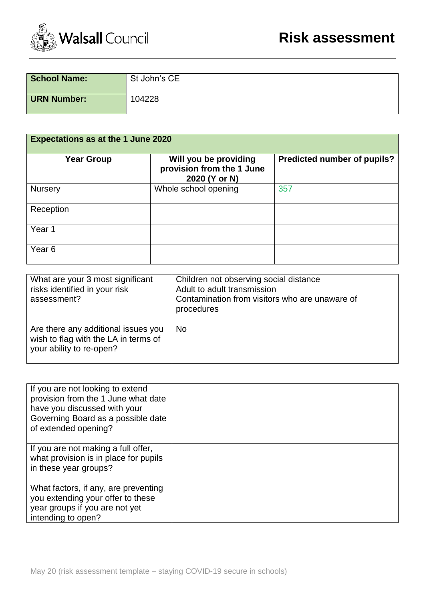

| <b>School Name:</b> | St John's CE |
|---------------------|--------------|
| <b>URN Number:</b>  | 104228       |

| <b>Expectations as at the 1 June 2020</b> |                                                                     |                             |  |  |  |  |
|-------------------------------------------|---------------------------------------------------------------------|-----------------------------|--|--|--|--|
| <b>Year Group</b>                         | Will you be providing<br>provision from the 1 June<br>2020 (Y or N) | Predicted number of pupils? |  |  |  |  |
| Nursery                                   | Whole school opening                                                | 357                         |  |  |  |  |
| Reception                                 |                                                                     |                             |  |  |  |  |
| Year 1                                    |                                                                     |                             |  |  |  |  |
| Year <sub>6</sub>                         |                                                                     |                             |  |  |  |  |

| What are your 3 most significant<br>risks identified in your risk<br>assessment?                        | Children not observing social distance<br>Adult to adult transmission<br>Contamination from visitors who are unaware of<br>procedures |
|---------------------------------------------------------------------------------------------------------|---------------------------------------------------------------------------------------------------------------------------------------|
| Are there any additional issues you<br>wish to flag with the LA in terms of<br>your ability to re-open? | <b>No</b>                                                                                                                             |

| If you are not looking to extend<br>provision from the 1 June what date<br>have you discussed with your<br>Governing Board as a possible date<br>of extended opening? |  |
|-----------------------------------------------------------------------------------------------------------------------------------------------------------------------|--|
| If you are not making a full offer,<br>what provision is in place for pupils<br>in these year groups?                                                                 |  |
| What factors, if any, are preventing<br>you extending your offer to these<br>year groups if you are not yet<br>intending to open?                                     |  |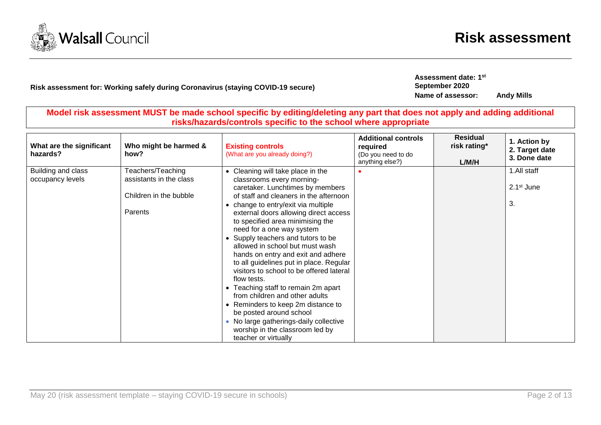

## **Risk assessment for: Working safely during Coronavirus (staying COVID-19 secure)**

**Assessment date: 1 st September 2020 Name of assessor: Andy Mills**

**Model risk assessment MUST be made school specific by editing/deleting any part that does not apply and adding additional risks/hazards/controls specific to the school where appropriate**

| What are the significant<br>hazards?   | Who might be harmed &<br>how?                                                     | <b>Existing controls</b><br>(What are you already doing?)                                                                                                                                                                                                                                                                                                                                                                                                                                                                                                                                                                                                    | <b>Additional controls</b><br>required<br>(Do you need to do<br>anything else?) | <b>Residual</b><br>risk rating*<br>L/M/H | 1. Action by<br>2. Target date<br>3. Done date |
|----------------------------------------|-----------------------------------------------------------------------------------|--------------------------------------------------------------------------------------------------------------------------------------------------------------------------------------------------------------------------------------------------------------------------------------------------------------------------------------------------------------------------------------------------------------------------------------------------------------------------------------------------------------------------------------------------------------------------------------------------------------------------------------------------------------|---------------------------------------------------------------------------------|------------------------------------------|------------------------------------------------|
| Building and class<br>occupancy levels | Teachers/Teaching<br>assistants in the class<br>Children in the bubble<br>Parents | • Cleaning will take place in the<br>classrooms every morning-<br>caretaker. Lunchtimes by members<br>of staff and cleaners in the afternoon<br>• change to entry/exit via multiple<br>external doors allowing direct access<br>to specified area minimising the<br>need for a one way system<br>• Supply teachers and tutors to be<br>allowed in school but must wash<br>hands on entry and exit and adhere<br>to all guidelines put in place. Regular<br>visitors to school to be offered lateral<br>flow tests.<br>• Teaching staff to remain 2m apart<br>from children and other adults<br>• Reminders to keep 2m distance to<br>be posted around school |                                                                                 |                                          | 1.All staff<br>$2.1st$ June<br>3.              |
|                                        |                                                                                   | • No large gatherings-daily collective<br>worship in the classroom led by<br>teacher or virtually                                                                                                                                                                                                                                                                                                                                                                                                                                                                                                                                                            |                                                                                 |                                          |                                                |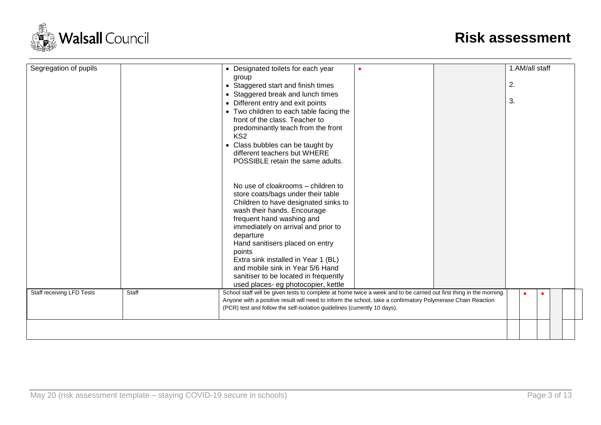

| Segregation of pupils            |       | • Designated toilets for each year<br>group<br>• Staggered start and finish times<br>• Staggered break and lunch times                                                                                                                                                                                                                                                                                                                   |  | 1.AM/all staff<br>2. |  |
|----------------------------------|-------|------------------------------------------------------------------------------------------------------------------------------------------------------------------------------------------------------------------------------------------------------------------------------------------------------------------------------------------------------------------------------------------------------------------------------------------|--|----------------------|--|
|                                  |       | • Different entry and exit points<br>• Two children to each table facing the<br>front of the class. Teacher to<br>predominantly teach from the front<br>KS <sub>2</sub><br>• Class bubbles can be taught by<br>different teachers but WHERE<br>POSSIBLE retain the same adults.                                                                                                                                                          |  | 3.                   |  |
|                                  |       | No use of cloakrooms – children to<br>store coats/bags under their table<br>Children to have designated sinks to<br>wash their hands. Encourage<br>frequent hand washing and<br>immediately on arrival and prior to<br>departure<br>Hand sanitisers placed on entry<br>points<br>Extra sink installed in Year 1 (BL)<br>and mobile sink in Year 5/6 Hand<br>sanitiser to be located in frequently<br>used places- eg photocopier, kettle |  |                      |  |
| <b>Staff receiving LFD Tests</b> | Staff | School staff will be given tests to complete at home twice a week and to be carried out first thing in the morning.<br>Anyone with a positive result will need to inform the school, take a confirmatory Polymerase Chain Reaction<br>(PCR) test and follow the self-isolation guidelines (currently 10 days).                                                                                                                           |  | $\bullet$            |  |
|                                  |       |                                                                                                                                                                                                                                                                                                                                                                                                                                          |  |                      |  |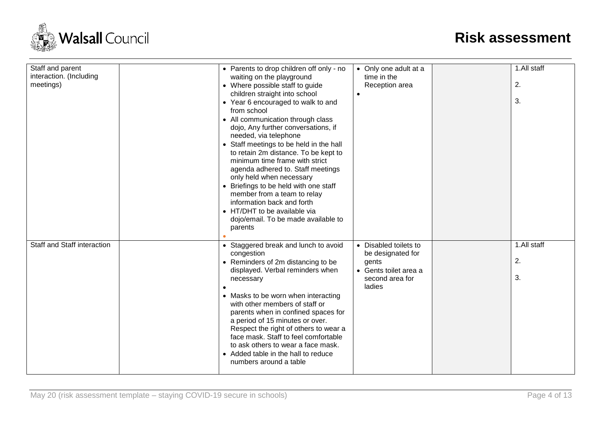

| Staff and parent<br>interaction. (Including<br>meetings) | • Parents to drop children off only - no<br>waiting on the playground<br>• Where possible staff to guide<br>children straight into school<br>• Year 6 encouraged to walk to and<br>from school<br>• All communication through class<br>dojo, Any further conversations, if<br>needed, via telephone<br>• Staff meetings to be held in the hall<br>to retain 2m distance. To be kept to<br>minimum time frame with strict<br>agenda adhered to. Staff meetings<br>only held when necessary<br>• Briefings to be held with one staff<br>member from a team to relay<br>information back and forth<br>• HT/DHT to be available via<br>dojo/email. To be made available to<br>parents | • Only one adult at a<br>time in the<br>Reception area                                                    | 1.All staff<br>2.<br>3. |
|----------------------------------------------------------|-----------------------------------------------------------------------------------------------------------------------------------------------------------------------------------------------------------------------------------------------------------------------------------------------------------------------------------------------------------------------------------------------------------------------------------------------------------------------------------------------------------------------------------------------------------------------------------------------------------------------------------------------------------------------------------|-----------------------------------------------------------------------------------------------------------|-------------------------|
| Staff and Staff interaction                              | • Staggered break and lunch to avoid<br>congestion<br>• Reminders of 2m distancing to be<br>displayed. Verbal reminders when<br>necessary<br>• Masks to be worn when interacting<br>with other members of staff or<br>parents when in confined spaces for<br>a period of 15 minutes or over.<br>Respect the right of others to wear a<br>face mask. Staff to feel comfortable<br>to ask others to wear a face mask.<br>• Added table in the hall to reduce<br>numbers around a table                                                                                                                                                                                              | • Disabled toilets to<br>be designated for<br>gents<br>• Gents toilet area a<br>second area for<br>ladies | 1.All staff<br>2.<br>3. |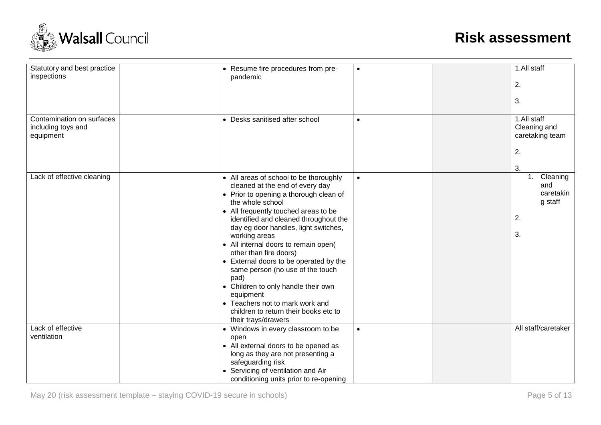

| Statutory and best practice<br>inspections                   | • Resume fire procedures from pre-<br>pandemic                                                                                                                                                                                                                                                                                                                                                                                                                                                                                                                                                   | $\bullet$ | 1.All staff<br>2.<br>3.                                    |
|--------------------------------------------------------------|--------------------------------------------------------------------------------------------------------------------------------------------------------------------------------------------------------------------------------------------------------------------------------------------------------------------------------------------------------------------------------------------------------------------------------------------------------------------------------------------------------------------------------------------------------------------------------------------------|-----------|------------------------------------------------------------|
| Contamination on surfaces<br>including toys and<br>equipment | • Desks sanitised after school                                                                                                                                                                                                                                                                                                                                                                                                                                                                                                                                                                   | $\bullet$ | 1.All staff<br>Cleaning and<br>caretaking team<br>2.<br>3. |
| Lack of effective cleaning                                   | • All areas of school to be thoroughly<br>cleaned at the end of every day<br>• Prior to opening a thorough clean of<br>the whole school<br>• All frequently touched areas to be<br>identified and cleaned throughout the<br>day eg door handles, light switches,<br>working areas<br>• All internal doors to remain open(<br>other than fire doors)<br>• External doors to be operated by the<br>same person (no use of the touch<br>pad)<br>• Children to only handle their own<br>equipment<br>• Teachers not to mark work and<br>children to return their books etc to<br>their trays/drawers | $\bullet$ | Cleaning<br>1.<br>and<br>caretakin<br>g staff<br>2.<br>3.  |
| Lack of effective<br>ventilation                             | • Windows in every classroom to be<br>open<br>• All external doors to be opened as<br>long as they are not presenting a<br>safeguarding risk<br>• Servicing of ventilation and Air<br>conditioning units prior to re-opening                                                                                                                                                                                                                                                                                                                                                                     | $\bullet$ | All staff/caretaker                                        |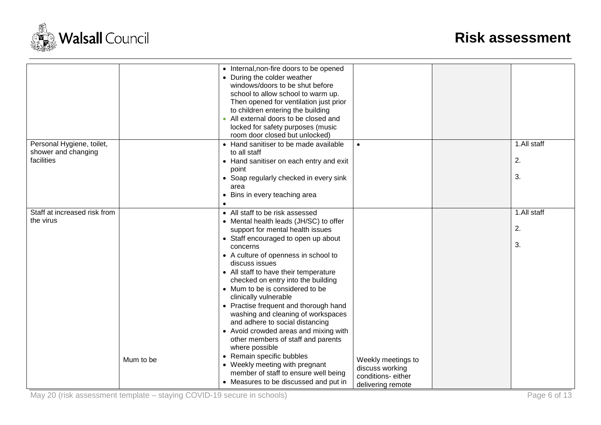

|                                                                |           | • Internal, non-fire doors to be opened<br>• During the colder weather<br>windows/doors to be shut before<br>school to allow school to warm up.<br>Then opened for ventilation just prior<br>to children entering the building<br>All external doors to be closed and<br>locked for safety purposes (music<br>room door closed but unlocked)                                                                                                                                                                                                                                                                                                                                                                                             |                                                                                 |                         |
|----------------------------------------------------------------|-----------|------------------------------------------------------------------------------------------------------------------------------------------------------------------------------------------------------------------------------------------------------------------------------------------------------------------------------------------------------------------------------------------------------------------------------------------------------------------------------------------------------------------------------------------------------------------------------------------------------------------------------------------------------------------------------------------------------------------------------------------|---------------------------------------------------------------------------------|-------------------------|
| Personal Hygiene, toilet,<br>shower and changing<br>facilities |           | • Hand sanitiser to be made available<br>to all staff<br>• Hand sanitiser on each entry and exit<br>point<br>• Soap regularly checked in every sink<br>area<br>• Bins in every teaching area                                                                                                                                                                                                                                                                                                                                                                                                                                                                                                                                             | $\bullet$                                                                       | 1.All staff<br>2.<br>3. |
| Staff at increased risk from<br>the virus                      | Mum to be | • All staff to be risk assessed<br>• Mental health leads (JH/SC) to offer<br>support for mental health issues<br>• Staff encouraged to open up about<br>concerns<br>• A culture of openness in school to<br>discuss issues<br>• All staff to have their temperature<br>checked on entry into the building<br>• Mum to be is considered to be<br>clinically vulnerable<br>• Practise frequent and thorough hand<br>washing and cleaning of workspaces<br>and adhere to social distancing<br>• Avoid crowded areas and mixing with<br>other members of staff and parents<br>where possible<br>• Remain specific bubbles<br>• Weekly meeting with pregnant<br>member of staff to ensure well being<br>• Measures to be discussed and put in | Weekly meetings to<br>discuss working<br>conditions-either<br>delivering remote | 1.All staff<br>2.<br>3. |

May 20 (risk assessment template – staying COVID-19 secure in schools) Page 6 of 13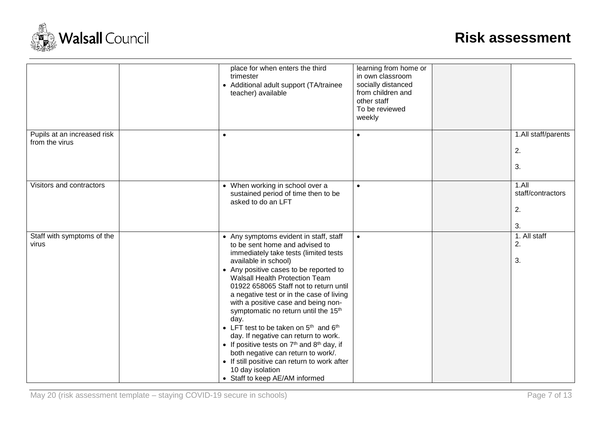

|                                               | place for when enters the third<br>trimester<br>• Additional adult support (TA/trainee<br>teacher) available                                                                                                                                                                                                                                                                                                                                                                                                                                                                                                                                                                                             | learning from home or<br>in own classroom<br>socially distanced<br>from children and<br>other staff<br>To be reviewed<br>weekly |                                           |
|-----------------------------------------------|----------------------------------------------------------------------------------------------------------------------------------------------------------------------------------------------------------------------------------------------------------------------------------------------------------------------------------------------------------------------------------------------------------------------------------------------------------------------------------------------------------------------------------------------------------------------------------------------------------------------------------------------------------------------------------------------------------|---------------------------------------------------------------------------------------------------------------------------------|-------------------------------------------|
| Pupils at an increased risk<br>from the virus | $\bullet$                                                                                                                                                                                                                                                                                                                                                                                                                                                                                                                                                                                                                                                                                                | $\bullet$                                                                                                                       | 1.All staff/parents<br>2.<br>3.           |
| Visitors and contractors                      | • When working in school over a<br>sustained period of time then to be<br>asked to do an LFT                                                                                                                                                                                                                                                                                                                                                                                                                                                                                                                                                                                                             | $\bullet$                                                                                                                       | $1.$ All<br>staff/contractors<br>2.<br>3. |
| Staff with symptoms of the<br>virus           | • Any symptoms evident in staff, staff<br>to be sent home and advised to<br>immediately take tests (limited tests<br>available in school)<br>• Any positive cases to be reported to<br><b>Walsall Health Protection Team</b><br>01922 658065 Staff not to return until<br>a negative test or in the case of living<br>with a positive case and being non-<br>symptomatic no return until the 15 <sup>th</sup><br>day.<br>• LFT test to be taken on $5th$ and $6th$<br>day. If negative can return to work.<br>• If positive tests on $7th$ and $8th$ day, if<br>both negative can return to work/.<br>• If still positive can return to work after<br>10 day isolation<br>• Staff to keep AE/AM informed | $\bullet$                                                                                                                       | 1. All staff<br>2.<br>3.                  |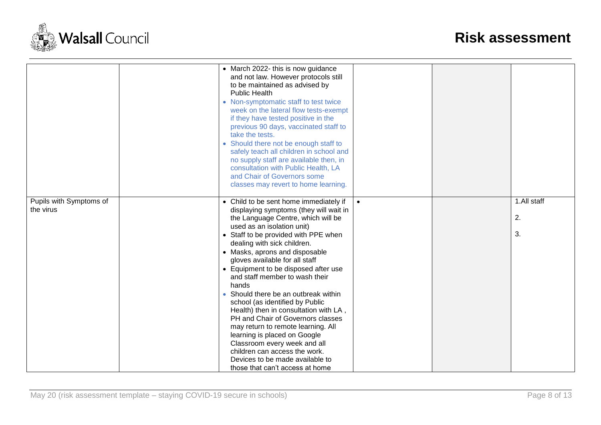

|                                      | • March 2022- this is now guidance<br>and not law. However protocols still<br>to be maintained as advised by<br><b>Public Health</b><br>• Non-symptomatic staff to test twice<br>week on the lateral flow tests-exempt<br>if they have tested positive in the<br>previous 90 days, vaccinated staff to<br>take the tests.<br>• Should there not be enough staff to<br>safely teach all children in school and<br>no supply staff are available then, in<br>consultation with Public Health, LA<br>and Chair of Governors some<br>classes may revert to home learning.                                                                                                                                                                                  |           |                         |
|--------------------------------------|--------------------------------------------------------------------------------------------------------------------------------------------------------------------------------------------------------------------------------------------------------------------------------------------------------------------------------------------------------------------------------------------------------------------------------------------------------------------------------------------------------------------------------------------------------------------------------------------------------------------------------------------------------------------------------------------------------------------------------------------------------|-----------|-------------------------|
| Pupils with Symptoms of<br>the virus | • Child to be sent home immediately if<br>displaying symptoms (they will wait in<br>the Language Centre, which will be<br>used as an isolation unit)<br>• Staff to be provided with PPE when<br>dealing with sick children.<br>• Masks, aprons and disposable<br>gloves available for all staff<br>• Equipment to be disposed after use<br>and staff member to wash their<br>hands<br>Should there be an outbreak within<br>school (as identified by Public<br>Health) then in consultation with LA,<br>PH and Chair of Governors classes<br>may return to remote learning. All<br>learning is placed on Google<br>Classroom every week and all<br>children can access the work.<br>Devices to be made available to<br>those that can't access at home | $\bullet$ | 1.All staff<br>2.<br>3. |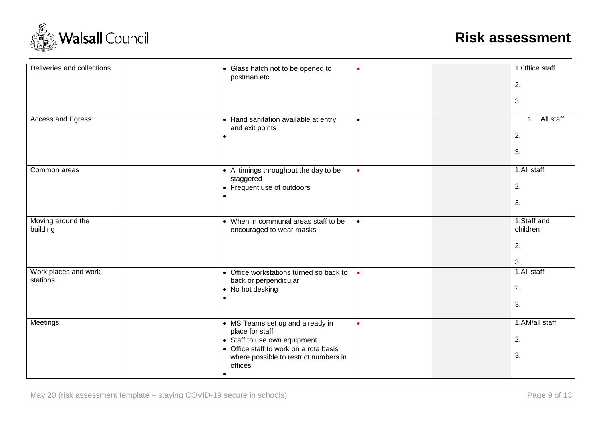

| Deliveries and collections       | • Glass hatch not to be opened to<br>postman etc                                                                                                                                       | $\bullet$ | 1.Office staff<br>2.<br>3.          |
|----------------------------------|----------------------------------------------------------------------------------------------------------------------------------------------------------------------------------------|-----------|-------------------------------------|
| <b>Access and Egress</b>         | • Hand sanitation available at entry<br>and exit points<br>$\bullet$                                                                                                                   | $\bullet$ | 1. All staff<br>2.<br>3.            |
| Common areas                     | • Al timings throughout the day to be<br>staggered<br>• Frequent use of outdoors<br>$\bullet$                                                                                          | $\bullet$ | 1.All staff<br>2.<br>3.             |
| Moving around the<br>building    | • When in communal areas staff to be<br>encouraged to wear masks                                                                                                                       | $\bullet$ | 1.Staff and<br>children<br>2.<br>3. |
| Work places and work<br>stations | • Office workstations turned so back to<br>back or perpendicular<br>• No hot desking<br>٠                                                                                              | $\bullet$ | 1.All staff<br>2.<br>3.             |
| Meetings                         | • MS Teams set up and already in<br>place for staff<br>• Staff to use own equipment<br>• Office staff to work on a rota basis<br>where possible to restrict numbers in<br>offices<br>٠ | $\bullet$ | 1.AM/all staff<br>2.<br>3.          |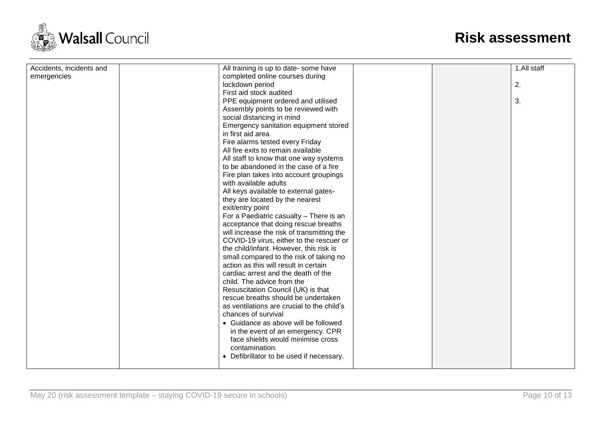

| Accidents, incidents and | All training is up to date- some have      |  | 1.All staff |
|--------------------------|--------------------------------------------|--|-------------|
| emergencies              | completed online courses during            |  |             |
|                          | lockdown period                            |  | 2.          |
|                          | First aid stock audited                    |  |             |
|                          | PPE equipment ordered and utilised         |  | 3.          |
|                          | Assembly points to be reviewed with        |  |             |
|                          | social distancing in mind                  |  |             |
|                          | Emergency sanitation equipment stored      |  |             |
|                          | in first aid area                          |  |             |
|                          | Fire alarms tested every Friday            |  |             |
|                          | All fire exits to remain available         |  |             |
|                          | All staff to know that one way systems     |  |             |
|                          | to be abandoned in the case of a fire      |  |             |
|                          | Fire plan takes into account groupings     |  |             |
|                          | with available adults                      |  |             |
|                          | All keys available to external gates-      |  |             |
|                          | they are located by the nearest            |  |             |
|                          | exit/entry point                           |  |             |
|                          | For a Paediatric casualty - There is an    |  |             |
|                          | acceptance that doing rescue breaths       |  |             |
|                          | will increase the risk of transmitting the |  |             |
|                          | COVID-19 virus, either to the rescuer or   |  |             |
|                          | the child/infant. However, this risk is    |  |             |
|                          | small compared to the risk of taking no    |  |             |
|                          | action as this will result in certain      |  |             |
|                          | cardiac arrest and the death of the        |  |             |
|                          | child. The advice from the                 |  |             |
|                          | Resuscitation Council (UK) is that         |  |             |
|                          | rescue breaths should be undertaken        |  |             |
|                          | as ventilations are crucial to the child's |  |             |
|                          | chances of survival                        |  |             |
|                          | • Guidance as above will be followed       |  |             |
|                          | in the event of an emergency. CPR          |  |             |
|                          | face shields would minimise cross          |  |             |
|                          | contamination.                             |  |             |
|                          |                                            |  |             |
|                          | • Defibrillator to be used if necessary.   |  |             |
|                          |                                            |  |             |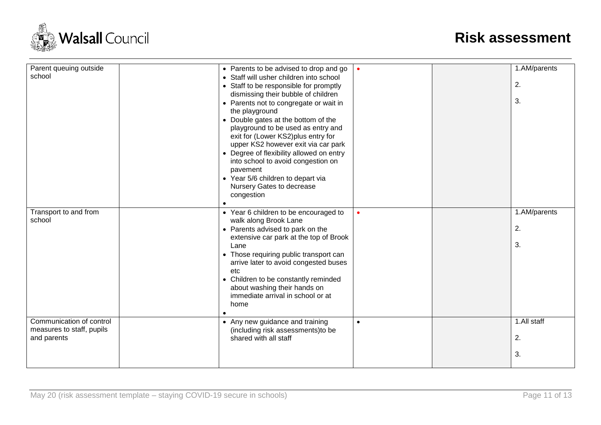

| Parent queuing outside<br>school                                     | • Parents to be advised to drop and go<br>• Staff will usher children into school<br>• Staff to be responsible for promptly<br>dismissing their bubble of children<br>• Parents not to congregate or wait in<br>the playground<br>• Double gates at the bottom of the<br>playground to be used as entry and<br>exit for (Lower KS2)plus entry for<br>upper KS2 however exit via car park<br>• Degree of flexibility allowed on entry<br>into school to avoid congestion on<br>pavement<br>• Year 5/6 children to depart via<br>Nursery Gates to decrease<br>congestion | $\bullet$ | 1.AM/parents<br>2.<br>3. |
|----------------------------------------------------------------------|------------------------------------------------------------------------------------------------------------------------------------------------------------------------------------------------------------------------------------------------------------------------------------------------------------------------------------------------------------------------------------------------------------------------------------------------------------------------------------------------------------------------------------------------------------------------|-----------|--------------------------|
| Transport to and from<br>school                                      | • Year 6 children to be encouraged to<br>walk along Brook Lane<br>• Parents advised to park on the<br>extensive car park at the top of Brook<br>Lane<br>• Those requiring public transport can<br>arrive later to avoid congested buses<br>etc<br>• Children to be constantly reminded<br>about washing their hands on<br>immediate arrival in school or at<br>home                                                                                                                                                                                                    |           | 1.AM/parents<br>2.<br>3. |
| Communication of control<br>measures to staff, pupils<br>and parents | • Any new guidance and training<br>(including risk assessments) to be<br>shared with all staff                                                                                                                                                                                                                                                                                                                                                                                                                                                                         | $\bullet$ | 1.All staff<br>2.<br>3.  |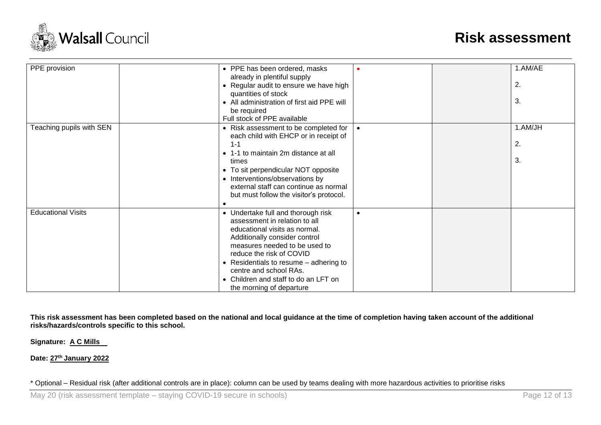

| PPE provision             | • PPE has been ordered, masks<br>already in plentiful supply<br>• Regular audit to ensure we have high<br>quantities of stock<br>• All administration of first aid PPE will<br>be required<br>Full stock of PPE available                                                                                                                    |           | 1.AM/AE<br>2.<br>3. |
|---------------------------|----------------------------------------------------------------------------------------------------------------------------------------------------------------------------------------------------------------------------------------------------------------------------------------------------------------------------------------------|-----------|---------------------|
| Teaching pupils with SEN  | • Risk assessment to be completed for<br>each child with EHCP or in receipt of<br>$1 - 1$<br>• 1-1 to maintain 2m distance at all<br>times<br>• To sit perpendicular NOT opposite<br>• Interventions/observations by<br>external staff can continue as normal<br>but must follow the visitor's protocol.                                     |           | 1.AM/JH<br>2.<br>3. |
| <b>Educational Visits</b> | • Undertake full and thorough risk<br>assessment in relation to all<br>educational visits as normal.<br>Additionally consider control<br>measures needed to be used to<br>reduce the risk of COVID<br>• Residentials to resume $-$ adhering to<br>centre and school RAs.<br>• Children and staff to do an LFT on<br>the morning of departure | $\bullet$ |                     |

**This risk assessment has been completed based on the national and local guidance at the time of completion having taken account of the additional risks/hazards/controls specific to this school.**

**Signature: A C Mills**

**Date: 27 th January 2022**

\* Optional – Residual risk (after additional controls are in place): column can be used by teams dealing with more hazardous activities to prioritise risks